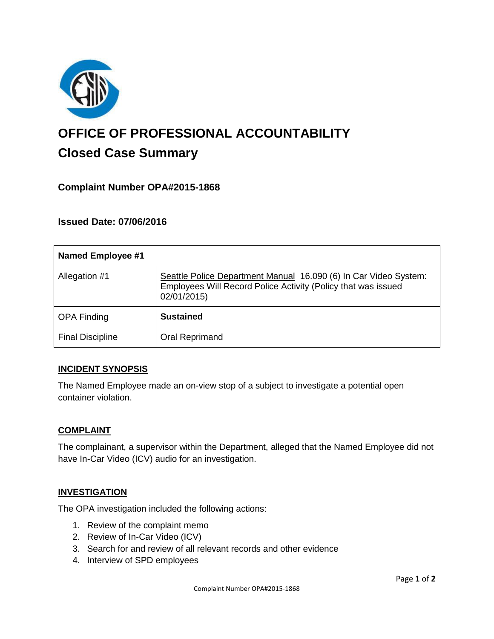

# **OFFICE OF PROFESSIONAL ACCOUNTABILITY Closed Case Summary**

## **Complaint Number OPA#2015-1868**

**Issued Date: 07/06/2016**

| <b>Named Employee #1</b> |                                                                                                                                                  |
|--------------------------|--------------------------------------------------------------------------------------------------------------------------------------------------|
| Allegation #1            | Seattle Police Department Manual 16.090 (6) In Car Video System:<br>Employees Will Record Police Activity (Policy that was issued<br>02/01/2015) |
| <b>OPA Finding</b>       | <b>Sustained</b>                                                                                                                                 |
| <b>Final Discipline</b>  | Oral Reprimand                                                                                                                                   |

#### **INCIDENT SYNOPSIS**

The Named Employee made an on-view stop of a subject to investigate a potential open container violation.

#### **COMPLAINT**

The complainant, a supervisor within the Department, alleged that the Named Employee did not have In-Car Video (ICV) audio for an investigation.

#### **INVESTIGATION**

The OPA investigation included the following actions:

- 1. Review of the complaint memo
- 2. Review of In-Car Video (ICV)
- 3. Search for and review of all relevant records and other evidence
- 4. Interview of SPD employees